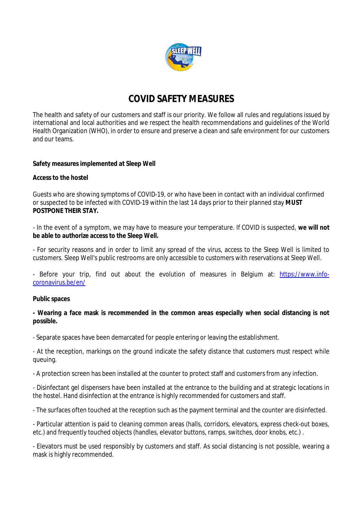

# **COVID SAFETY MEASURES**

The health and safety of our customers and staff is our priority. We follow all rules and regulations issued by international and local authorities and we respect the health recommendations and guidelines of the World Health Organization (WHO), in order to ensure and preserve a clean and safe environment for our customers and our teams.

# **Safety measures implemented at Sleep Well**

# **Access to the hostel**

Guests who are showing symptoms of COVID-19, or who have been in contact with an individual confirmed or suspected to be infected with COVID-19 within the last 14 days prior to their planned stay **MUST POSTPONE THEIR STAY.**

- In the event of a symptom, we may have to measure your temperature. If COVID is suspected, **we will not be able to authorize access to the Sleep Well.**

- For security reasons and in order to limit any spread of the virus, access to the Sleep Well is limited to customers. Sleep Well's public restrooms are only accessible to customers with reservations at Sleep Well.

- Before your trip, find out about the evolution of measures in Belgium at: [https://www.info](https://www.info-)coronavirus.be/en/

#### **Public spaces**

**- Wearing a face mask is recommended in the common areas especially when social distancing is not possible.**

- Separate spaces have been demarcated for people entering or leaving the establishment.

- At the reception, markings on the ground indicate the safety distance that customers must respect while queuing.

- A protection screen has been installed at the counter to protect staff and customers from any infection.

- Disinfectant gel dispensers have been installed at the entrance to the building and at strategic locations in the hostel. Hand disinfection at the entrance is highly recommended for customers and staff.

- The surfaces often touched at the reception such as the payment terminal and the counter are disinfected.

- Particular attention is paid to cleaning common areas (halls, corridors, elevators, express check-out boxes, etc.) and frequently touched objects (handles, elevator buttons, ramps, switches, door knobs, etc.) .

- Elevators must be used responsibly by customers and staff. As social distancing is not possible, wearing a mask is highly recommended.